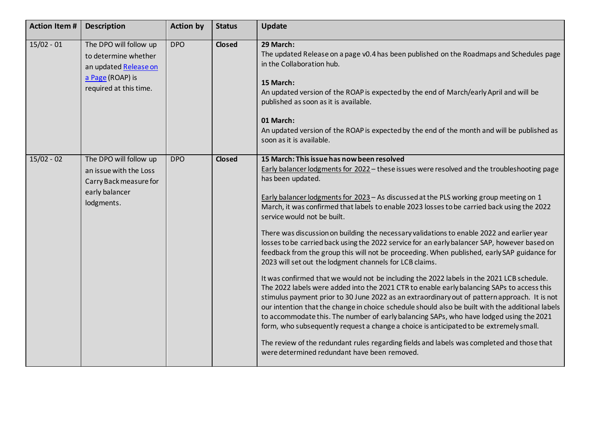| <b>Action Item#</b> | <b>Description</b>                                                                                                    | <b>Action by</b> | <b>Status</b> | <b>Update</b>                                                                                                                                                                                                                                                                                                                                                                                                                                                                                                                                                                                                                                                                                                                                                                                                                                                                                                                                                                                                                                                                                                                                                                                                                                                                                                                                                                                                                                                                     |
|---------------------|-----------------------------------------------------------------------------------------------------------------------|------------------|---------------|-----------------------------------------------------------------------------------------------------------------------------------------------------------------------------------------------------------------------------------------------------------------------------------------------------------------------------------------------------------------------------------------------------------------------------------------------------------------------------------------------------------------------------------------------------------------------------------------------------------------------------------------------------------------------------------------------------------------------------------------------------------------------------------------------------------------------------------------------------------------------------------------------------------------------------------------------------------------------------------------------------------------------------------------------------------------------------------------------------------------------------------------------------------------------------------------------------------------------------------------------------------------------------------------------------------------------------------------------------------------------------------------------------------------------------------------------------------------------------------|
| $15/02 - 01$        | The DPO will follow up<br>to determine whether<br>an updated Release on<br>a Page (ROAP) is<br>required at this time. | <b>DPO</b>       | <b>Closed</b> | 29 March:<br>The updated Release on a page v0.4 has been published on the Roadmaps and Schedules page<br>in the Collaboration hub.<br>15 March:<br>An updated version of the ROAP is expected by the end of March/early April and will be<br>published as soon as it is available.<br>01 March:<br>An updated version of the ROAP is expected by the end of the month and will be published as<br>soon as it is available.                                                                                                                                                                                                                                                                                                                                                                                                                                                                                                                                                                                                                                                                                                                                                                                                                                                                                                                                                                                                                                                        |
| $15/02 - 02$        | The DPO will follow up<br>an issue with the Loss<br>Carry Back measure for<br>early balancer<br>lodgments.            | <b>DPO</b>       | <b>Closed</b> | 15 March: This issue has now been resolved<br>Early balancer lodgments for 2022 - these issues were resolved and the troubleshooting page<br>has been updated.<br>Early balancer lodgments for 2023 - As discussed at the PLS working group meeting on 1<br>March, it was confirmed that labels to enable 2023 losses to be carried back using the 2022<br>service would not be built.<br>There was discussion on building the necessary validations to enable 2022 and earlier year<br>losses to be carried back using the 2022 service for an early balancer SAP, however based on<br>feedback from the group this will not be proceeding. When published, early SAP guidance for<br>2023 will set out the lodgment channels for LCB claims.<br>It was confirmed that we would not be including the 2022 labels in the 2021 LCB schedule.<br>The 2022 labels were added into the 2021 CTR to enable early balancing SAPs to access this<br>stimulus payment prior to 30 June 2022 as an extraordinary out of pattern approach. It is not<br>our intention that the change in choice schedule should also be built with the additional labels<br>to accommodate this. The number of early balancing SAPs, who have lodged using the 2021<br>form, who subsequently request a change a choice is anticipated to be extremely small.<br>The review of the redundant rules regarding fields and labels was completed and those that<br>were determined redundant have been removed. |